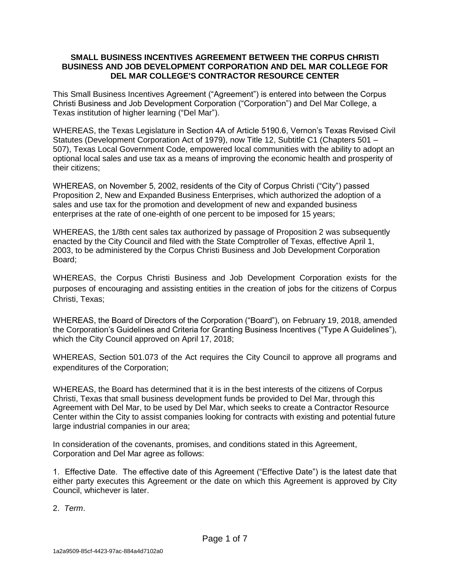## **SMALL BUSINESS INCENTIVES AGREEMENT BETWEEN THE CORPUS CHRISTI BUSINESS AND JOB DEVELOPMENT CORPORATION AND DEL MAR COLLEGE FOR DEL MAR COLLEGE'S CONTRACTOR RESOURCE CENTER**

This Small Business Incentives Agreement ("Agreement") is entered into between the Corpus Christi Business and Job Development Corporation ("Corporation") and Del Mar College, a Texas institution of higher learning ("Del Mar").

WHEREAS, the Texas Legislature in Section 4A of Article 5190.6, Vernon's Texas Revised Civil Statutes (Development Corporation Act of 1979), now Title 12, Subtitle C1 (Chapters 501 – 507), Texas Local Government Code, empowered local communities with the ability to adopt an optional local sales and use tax as a means of improving the economic health and prosperity of their citizens;

WHEREAS, on November 5, 2002, residents of the City of Corpus Christi ("City") passed Proposition 2, New and Expanded Business Enterprises, which authorized the adoption of a sales and use tax for the promotion and development of new and expanded business enterprises at the rate of one-eighth of one percent to be imposed for 15 years;

WHEREAS, the 1/8th cent sales tax authorized by passage of Proposition 2 was subsequently enacted by the City Council and filed with the State Comptroller of Texas, effective April 1, 2003, to be administered by the Corpus Christi Business and Job Development Corporation Board;

WHEREAS, the Corpus Christi Business and Job Development Corporation exists for the purposes of encouraging and assisting entities in the creation of jobs for the citizens of Corpus Christi, Texas;

WHEREAS, the Board of Directors of the Corporation ("Board"), on February 19, 2018, amended the Corporation's Guidelines and Criteria for Granting Business Incentives ("Type A Guidelines"), which the City Council approved on April 17, 2018;

WHEREAS, Section 501.073 of the Act requires the City Council to approve all programs and expenditures of the Corporation;

WHEREAS, the Board has determined that it is in the best interests of the citizens of Corpus Christi, Texas that small business development funds be provided to Del Mar, through this Agreement with Del Mar, to be used by Del Mar, which seeks to create a Contractor Resource Center within the City to assist companies looking for contracts with existing and potential future large industrial companies in our area;

In consideration of the covenants, promises, and conditions stated in this Agreement, Corporation and Del Mar agree as follows:

1. Effective Date. The effective date of this Agreement ("Effective Date") is the latest date that either party executes this Agreement or the date on which this Agreement is approved by City Council, whichever is later.

2. *Term*.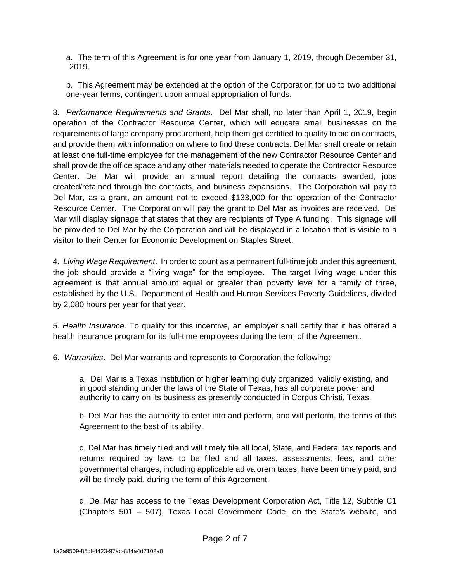a. The term of this Agreement is for one year from January 1, 2019, through December 31, 2019.

b. This Agreement may be extended at the option of the Corporation for up to two additional one-year terms, contingent upon annual appropriation of funds.

3. *Performance Requirements and Grants*. Del Mar shall, no later than April 1, 2019, begin operation of the Contractor Resource Center, which will educate small businesses on the requirements of large company procurement, help them get certified to qualify to bid on contracts, and provide them with information on where to find these contracts. Del Mar shall create or retain at least one full-time employee for the management of the new Contractor Resource Center and shall provide the office space and any other materials needed to operate the Contractor Resource Center. Del Mar will provide an annual report detailing the contracts awarded, jobs created/retained through the contracts, and business expansions. The Corporation will pay to Del Mar, as a grant, an amount not to exceed \$133,000 for the operation of the Contractor Resource Center. The Corporation will pay the grant to Del Mar as invoices are received. Del Mar will display signage that states that they are recipients of Type A funding. This signage will be provided to Del Mar by the Corporation and will be displayed in a location that is visible to a visitor to their Center for Economic Development on Staples Street.

4. *Living Wage Requirement*. In order to count as a permanent full-time job under this agreement, the job should provide a "living wage" for the employee. The target living wage under this agreement is that annual amount equal or greater than poverty level for a family of three, established by the U.S. Department of Health and Human Services Poverty Guidelines, divided by 2,080 hours per year for that year.

5. *Health Insurance*. To qualify for this incentive, an employer shall certify that it has offered a health insurance program for its full-time employees during the term of the Agreement.

6. *Warranties*. Del Mar warrants and represents to Corporation the following:

a. Del Mar is a Texas institution of higher learning duly organized, validly existing, and in good standing under the laws of the State of Texas, has all corporate power and authority to carry on its business as presently conducted in Corpus Christi, Texas.

b. Del Mar has the authority to enter into and perform, and will perform, the terms of this Agreement to the best of its ability.

c. Del Mar has timely filed and will timely file all local, State, and Federal tax reports and returns required by laws to be filed and all taxes, assessments, fees, and other governmental charges, including applicable ad valorem taxes, have been timely paid, and will be timely paid, during the term of this Agreement.

d. Del Mar has access to the Texas Development Corporation Act, Title 12, Subtitle C1 (Chapters 501 – 507), Texas Local Government Code, on the State's website, and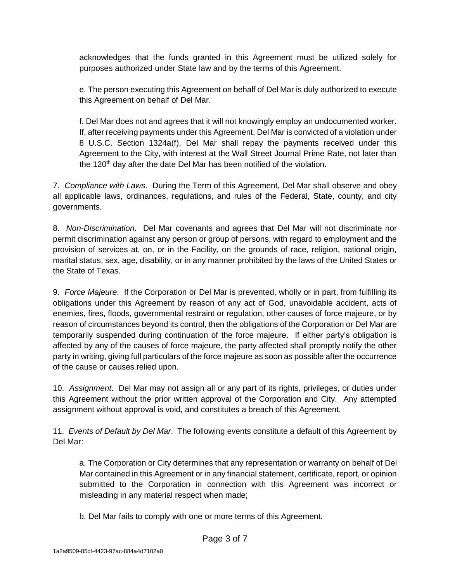acknowledges that the funds granted in this Agreement must be utilized solely for purposes authorized under State law and by the terms of this Agreement.

e. The person executing this Agreement on behalf of Del Mar is duly authorized to execute this Agreement on behalf of Del Mar.

f. Del Mar does not and agrees that it will not knowingly employ an undocumented worker. If, after receiving payments under this Agreement, Del Mar is convicted of a violation under 8 U.S.C. Section 1324a(f), Del Mar shall repay the payments received under this Agreement to the City, with interest at the Wall Street Journal Prime Rate, not later than the 120<sup>th</sup> day after the date Del Mar has been notified of the violation.

7. *Compliance with Laws*. During the Term of this Agreement, Del Mar shall observe and obey all applicable laws, ordinances, regulations, and rules of the Federal, State, county, and city governments.

8. *Non-Discrimination*. Del Mar covenants and agrees that Del Mar will not discriminate nor permit discrimination against any person or group of persons, with regard to employment and the provision of services at, on, or in the Facility, on the grounds of race, religion, national origin, marital status, sex, age, disability, or in any manner prohibited by the laws of the United States or the State of Texas.

9. *Force Majeure*. If the Corporation or Del Mar is prevented, wholly or in part, from fulfilling its obligations under this Agreement by reason of any act of God, unavoidable accident, acts of enemies, fires, floods, governmental restraint or regulation, other causes of force majeure, or by reason of circumstances beyond its control, then the obligations of the Corporation or Del Mar are temporarily suspended during continuation of the force majeure. If either party's obligation is affected by any of the causes of force majeure, the party affected shall promptly notify the other party in writing, giving full particulars of the force majeure as soon as possible after the occurrence of the cause or causes relied upon.

10. *Assignment*. Del Mar may not assign all or any part of its rights, privileges, or duties under this Agreement without the prior written approval of the Corporation and City. Any attempted assignment without approval is void, and constitutes a breach of this Agreement.

11. *Events of Default by Del Mar*. The following events constitute a default of this Agreement by Del Mar:

a. The Corporation or City determines that any representation or warranty on behalf of Del Mar contained in this Agreement or in any financial statement, certificate, report, or opinion submitted to the Corporation in connection with this Agreement was incorrect or misleading in any material respect when made;

b. Del Mar fails to comply with one or more terms of this Agreement.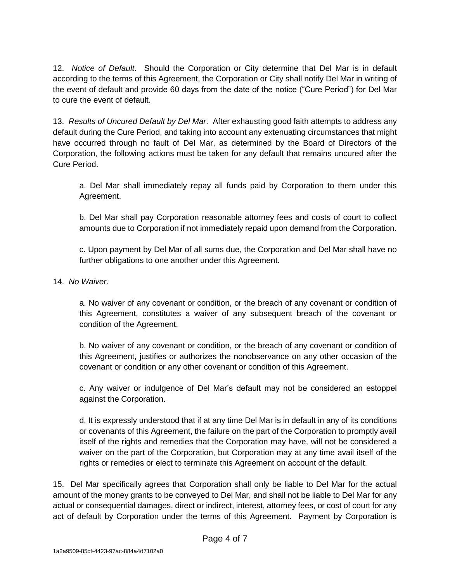12. *Notice of Default*. Should the Corporation or City determine that Del Mar is in default according to the terms of this Agreement, the Corporation or City shall notify Del Mar in writing of the event of default and provide 60 days from the date of the notice ("Cure Period") for Del Mar to cure the event of default.

13. *Results of Uncured Default by Del Mar*. After exhausting good faith attempts to address any default during the Cure Period, and taking into account any extenuating circumstances that might have occurred through no fault of Del Mar, as determined by the Board of Directors of the Corporation, the following actions must be taken for any default that remains uncured after the Cure Period.

a. Del Mar shall immediately repay all funds paid by Corporation to them under this Agreement.

b. Del Mar shall pay Corporation reasonable attorney fees and costs of court to collect amounts due to Corporation if not immediately repaid upon demand from the Corporation.

c. Upon payment by Del Mar of all sums due, the Corporation and Del Mar shall have no further obligations to one another under this Agreement.

## 14. *No Waiver*.

a. No waiver of any covenant or condition, or the breach of any covenant or condition of this Agreement, constitutes a waiver of any subsequent breach of the covenant or condition of the Agreement.

b. No waiver of any covenant or condition, or the breach of any covenant or condition of this Agreement, justifies or authorizes the nonobservance on any other occasion of the covenant or condition or any other covenant or condition of this Agreement.

c. Any waiver or indulgence of Del Mar's default may not be considered an estoppel against the Corporation.

d. It is expressly understood that if at any time Del Mar is in default in any of its conditions or covenants of this Agreement, the failure on the part of the Corporation to promptly avail itself of the rights and remedies that the Corporation may have, will not be considered a waiver on the part of the Corporation, but Corporation may at any time avail itself of the rights or remedies or elect to terminate this Agreement on account of the default.

15. Del Mar specifically agrees that Corporation shall only be liable to Del Mar for the actual amount of the money grants to be conveyed to Del Mar, and shall not be liable to Del Mar for any actual or consequential damages, direct or indirect, interest, attorney fees, or cost of court for any act of default by Corporation under the terms of this Agreement. Payment by Corporation is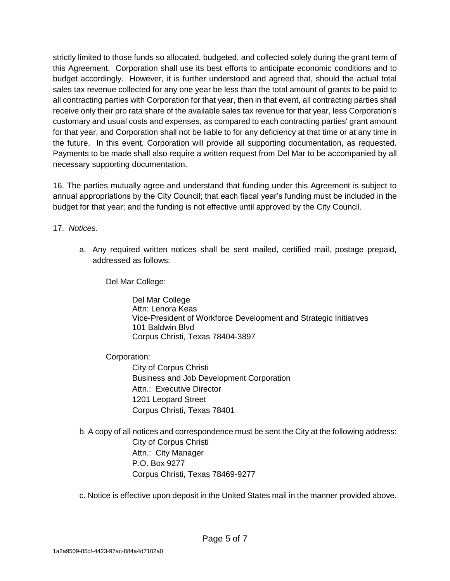strictly limited to those funds so allocated, budgeted, and collected solely during the grant term of this Agreement. Corporation shall use its best efforts to anticipate economic conditions and to budget accordingly. However, it is further understood and agreed that, should the actual total sales tax revenue collected for any one year be less than the total amount of grants to be paid to all contracting parties with Corporation for that year, then in that event, all contracting parties shall receive only their pro rata share of the available sales tax revenue for that year, less Corporation's customary and usual costs and expenses, as compared to each contracting parties' grant amount for that year, and Corporation shall not be liable to for any deficiency at that time or at any time in the future. In this event, Corporation will provide all supporting documentation, as requested. Payments to be made shall also require a written request from Del Mar to be accompanied by all necessary supporting documentation.

16. The parties mutually agree and understand that funding under this Agreement is subject to annual appropriations by the City Council; that each fiscal year's funding must be included in the budget for that year; and the funding is not effective until approved by the City Council.

17. *Notices*.

a. Any required written notices shall be sent mailed, certified mail, postage prepaid, addressed as follows:

Del Mar College:

Del Mar College Attn: Lenora Keas Vice-President of Workforce Development and Strategic Initiatives 101 Baldwin Blvd Corpus Christi, Texas 78404-3897

Corporation:

City of Corpus Christi Business and Job Development Corporation Attn.: Executive Director 1201 Leopard Street Corpus Christi, Texas 78401

b. A copy of all notices and correspondence must be sent the City at the following address: City of Corpus Christi Attn.: City Manager P.O. Box 9277 Corpus Christi, Texas 78469-9277

c. Notice is effective upon deposit in the United States mail in the manner provided above.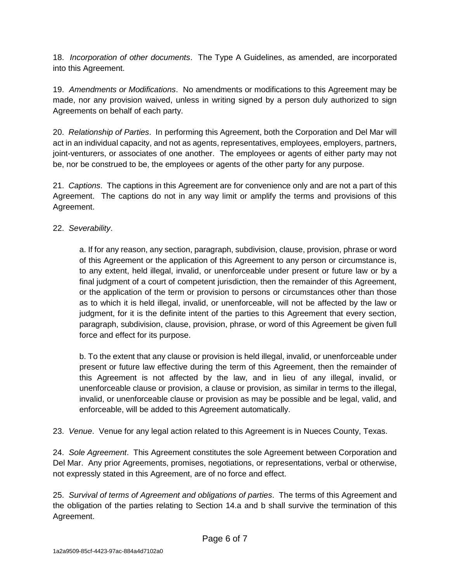18. *Incorporation of other documents*. The Type A Guidelines, as amended, are incorporated into this Agreement.

19. *Amendments or Modifications*. No amendments or modifications to this Agreement may be made, nor any provision waived, unless in writing signed by a person duly authorized to sign Agreements on behalf of each party.

20. *Relationship of Parties*. In performing this Agreement, both the Corporation and Del Mar will act in an individual capacity, and not as agents, representatives, employees, employers, partners, joint-venturers, or associates of one another. The employees or agents of either party may not be, nor be construed to be, the employees or agents of the other party for any purpose.

21. *Captions*. The captions in this Agreement are for convenience only and are not a part of this Agreement. The captions do not in any way limit or amplify the terms and provisions of this Agreement.

## 22. *Severability*.

a. If for any reason, any section, paragraph, subdivision, clause, provision, phrase or word of this Agreement or the application of this Agreement to any person or circumstance is, to any extent, held illegal, invalid, or unenforceable under present or future law or by a final judgment of a court of competent jurisdiction, then the remainder of this Agreement, or the application of the term or provision to persons or circumstances other than those as to which it is held illegal, invalid, or unenforceable, will not be affected by the law or judgment, for it is the definite intent of the parties to this Agreement that every section, paragraph, subdivision, clause, provision, phrase, or word of this Agreement be given full force and effect for its purpose.

b. To the extent that any clause or provision is held illegal, invalid, or unenforceable under present or future law effective during the term of this Agreement, then the remainder of this Agreement is not affected by the law, and in lieu of any illegal, invalid, or unenforceable clause or provision, a clause or provision, as similar in terms to the illegal, invalid, or unenforceable clause or provision as may be possible and be legal, valid, and enforceable, will be added to this Agreement automatically.

23. *Venue*. Venue for any legal action related to this Agreement is in Nueces County, Texas.

24. *Sole Agreement*. This Agreement constitutes the sole Agreement between Corporation and Del Mar. Any prior Agreements, promises, negotiations, or representations, verbal or otherwise, not expressly stated in this Agreement, are of no force and effect.

25. *Survival of terms of Agreement and obligations of parties*. The terms of this Agreement and the obligation of the parties relating to Section 14.a and b shall survive the termination of this Agreement.